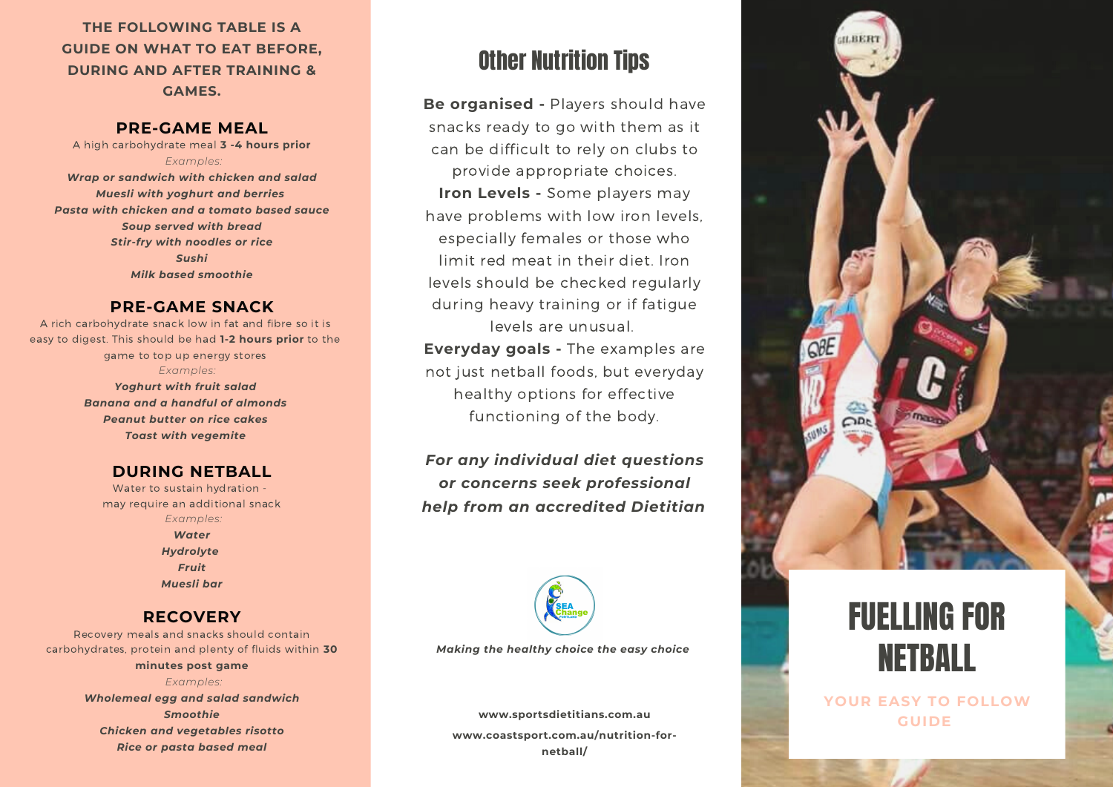**THE FOLLOWING TABLE IS A GUIDE ON WHAT TO EAT BEFORE, DURING AND AFTER TRAINING & GAMES.**

### **PRE-GAME MEAL**

A high carbohydrate meal **3 -4 hours prior** *Examples: Wrap or sandwich with chicken and salad Muesli with yoghurt and berries Pasta with chicken and a tomato based sauce Soup served with bread Stir-fry with noodles or rice Sushi Milk based smoothie*

### **PRE-GAME SNACK**

A rich carbohydrate snack low in fat and fibre so it is easy to digest. This should be had **1-2 hours prior** to the game to top up energy stores *Examples: Yoghurt with fruit salad Banana and a handful of almonds*

*Peanut butter on rice cakes Toast with vegemite*

### **DURING NETBALL**

Water to sustain hydration may require an additional snack *Examples: Water Hydrolyte Fruit Muesli bar*

### **RECOVERY**

Recovery meals and snacks should contain carbohydrates, protein and plenty of fluids within **30**

**minutes post game** *Examples:*

*Wholemeal egg and salad sandwich Smoothie Chicken and vegetables risotto Rice or pasta based meal*

# Other Nutrition Tips

**Be organised -** Players should have snacks ready to go with them as it can be difficult to rely on clubs to provide appropriate choices. **Iron Levels -** Some players may have problems with low iron levels, especially females or those who limit red meat in their diet. Iron levels should be checked regularly during heavy training or if fatigue levels are unusual. **Everyday goals -** The examples are not just netball foods, but everyday healthy options for effective

*For any individual diet questions or concerns seek professional help from an accredited Dietitian*

functioning of the body.



*Making the healthy choice the easy choice*

**www.coastsport.com.au/nutrition-fornetball/ www.sportsdietitians.com.au**



# FUELLING FOR NETBALL

**YOUR EASY TO FOLLOW GUIDE**